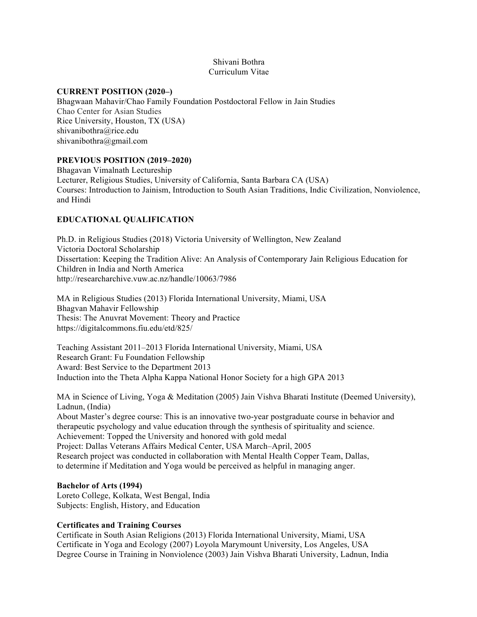## Shivani Bothra Curriculum Vitae

### **CURRENT POSITION (2020–)**

Bhagwaan Mahavir/Chao Family Foundation Postdoctoral Fellow in Jain Studies Chao Center for Asian Studies Rice University, Houston, TX (USA) shivanibothra@rice.edu shivanibothra@gmail.com

## **PREVIOUS POSITION (2019–2020)**

Bhagavan Vimalnath Lectureship Lecturer, Religious Studies, University of California, Santa Barbara CA (USA) Courses: Introduction to Jainism, Introduction to South Asian Traditions, Indic Civilization, Nonviolence, and Hindi

# **EDUCATIONAL QUALIFICATION**

Ph.D. in Religious Studies (2018) Victoria University of Wellington, New Zealand Victoria Doctoral Scholarship Dissertation: Keeping the Tradition Alive: An Analysis of Contemporary Jain Religious Education for Children in India and North America http://researcharchive.vuw.ac.nz/handle/10063/7986

MA in Religious Studies (2013) Florida International University, Miami, USA Bhagvan Mahavir Fellowship Thesis: The Anuvrat Movement: Theory and Practice https://digitalcommons.fiu.edu/etd/825/

Teaching Assistant 2011–2013 Florida International University, Miami, USA Research Grant: Fu Foundation Fellowship Award: Best Service to the Department 2013 Induction into the Theta Alpha Kappa National Honor Society for a high GPA 2013

MA in Science of Living, Yoga & Meditation (2005) Jain Vishva Bharati Institute (Deemed University), Ladnun, (India) About Master's degree course: This is an innovative two-year postgraduate course in behavior and

therapeutic psychology and value education through the synthesis of spirituality and science. Achievement: Topped the University and honored with gold medal Project: Dallas Veterans Affairs Medical Center, USA March–April, 2005 Research project was conducted in collaboration with Mental Health Copper Team, Dallas, to determine if Meditation and Yoga would be perceived as helpful in managing anger.

## **Bachelor of Arts (1994)**

Loreto College, Kolkata, West Bengal, India Subjects: English, History, and Education

## **Certificates and Training Courses**

Certificate in South Asian Religions (2013) Florida International University, Miami, USA Certificate in Yoga and Ecology (2007) Loyola Marymount University, Los Angeles, USA Degree Course in Training in Nonviolence (2003) Jain Vishva Bharati University, Ladnun, India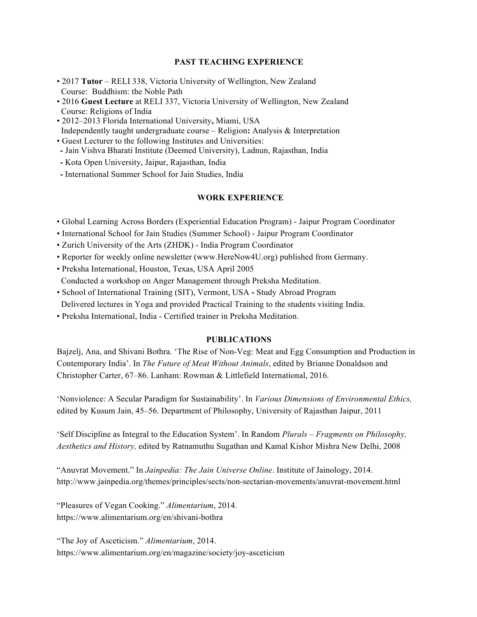## **PAST TEACHING EXPERIENCE**

- 2017 **Tutor** RELI 338, Victoria University of Wellington, New Zealand Course: Buddhism: the Noble Path
- 2016 **Guest Lecture** at RELI 337, Victoria University of Wellington, New Zealand Course: Religions of India
- 2012–2013 Florida International University**,** Miami, USA
- Independently taught undergraduate course Religion**:** Analysis & Interpretation
- Guest Lecturer to the following Institutes and Universities:
- **-** Jain Vishva Bharati Institute (Deemed University), Ladnun, Rajasthan, India
- **-** Kota Open University, Jaipur, Rajasthan, India
- **-** International Summer School for Jain Studies, India

# **WORK EXPERIENCE**

- Global Learning Across Borders (Experiential Education Program) Jaipur Program Coordinator
- International School for Jain Studies (Summer School) Jaipur Program Coordinator
- Zurich University of the Arts (ZHDK) India Program Coordinator
- Reporter for weekly online newsletter (www.HereNow4U.org) published from Germany.
- Preksha International, Houston, Texas, USA April 2005 Conducted a workshop on Anger Management through Preksha Meditation.
- School of International Training (SIT), Vermont, USA **-** Study Abroad Program
- Delivered lectures in Yoga and provided Practical Training to the students visiting India.
- Preksha International, India Certified trainer in Preksha Meditation.

## **PUBLICATIONS**

Bajzelj, Ana, and Shivani Bothra. 'The Rise of Non-Veg: Meat and Egg Consumption and Production in Contemporary India'. In *The Future of Meat Without Animals*, edited by Brianne Donaldson and Christopher Carter, 67–86. Lanham: Rowman & Littlefield International, 2016.

'Nonviolence: A Secular Paradigm for Sustainability'. In *Various Dimensions of Environmental Ethics,*  edited by Kusum Jain, 45–56. Department of Philosophy, University of Rajasthan Jaipur, 2011

'Self Discipline as Integral to the Education System'. In Random *Plurals – Fragments on Philosophy, Aesthetics and History,* edited by Ratnamuthu Sugathan and Kamal Kishor Mishra New Delhi, 2008

"Anuvrat Movement." In *Jainpedia: The Jain Universe Online*. Institute of Jainology, 2014. http://www.jainpedia.org/themes/principles/sects/non-sectarian-movements/anuvrat-movement.html

"Pleasures of Vegan Cooking." *Alimentarium*, 2014. https://www.alimentarium.org/en/shivani-bothra

"The Joy of Asceticism." *Alimentarium*, 2014. https://www.alimentarium.org/en/magazine/society/joy-asceticism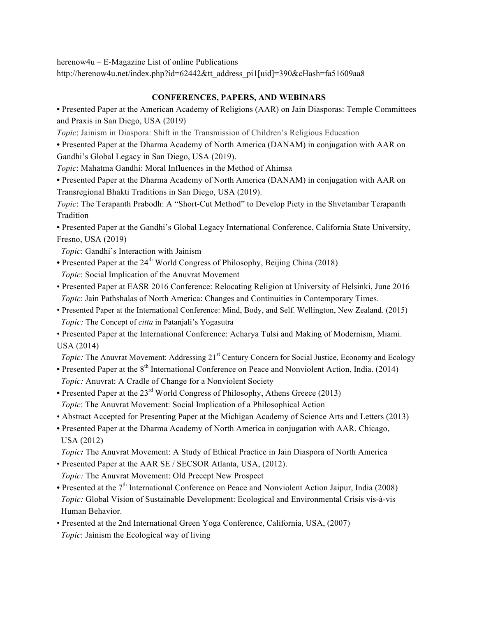herenow4u – E-Magazine List of online Publications

http://herenow4u.net/index.php?id=62442&tt\_address\_pi1[uid]=390&cHash=fa51609aa8

# **CONFERENCES, PAPERS, AND WEBINARS**

**•** Presented Paper at the American Academy of Religions (AAR) on Jain Diasporas: Temple Committees and Praxis in San Diego, USA (2019)

*Topic*: Jainism in Diaspora: Shift in the Transmission of Children's Religious Education

**•** Presented Paper at the Dharma Academy of North America (DANAM) in conjugation with AAR on Gandhi's Global Legacy in San Diego, USA (2019).

*Topic*: Mahatma Gandhi: Moral Influences in the Method of Ahimsa

**•** Presented Paper at the Dharma Academy of North America (DANAM) in conjugation with AAR on Transregional Bhakti Traditions in San Diego, USA (2019).

*Topic*: The Terapanth Prabodh: A "Short-Cut Method" to Develop Piety in the Shvetambar Terapanth Tradition

**•** Presented Paper at the Gandhi's Global Legacy International Conference, California State University, Fresno, USA (2019)

 *Topic*: Gandhi's Interaction with Jainism

- Presented Paper at the 24<sup>th</sup> World Congress of Philosophy, Beijing China (2018)  *Topic*: Social Implication of the Anuvrat Movement
- Presented Paper at EASR 2016 Conference: Relocating Religion at University of Helsinki, June 2016  *Topic*: Jain Pathshalas of North America: Changes and Continuities in Contemporary Times.
- Presented Paper at the International Conference: Mind, Body, and Self. Wellington, New Zealand. (2015)  *Topic:* The Concept of *citta* in Patanjali's Yogasutra
- Presented Paper at the International Conference: Acharya Tulsi and Making of Modernism, Miami. USA (2014)
- *Topic:* The Anuvrat Movement: Addressing 21<sup>st</sup> Century Concern for Social Justice, Economy and Ecology
- Presented Paper at the 8<sup>th</sup> International Conference on Peace and Nonviolent Action, India. (2014)  *Topic:* Anuvrat: A Cradle of Change for a Nonviolent Society
- Presented Paper at the 23<sup>rd</sup> World Congress of Philosophy, Athens Greece (2013)  *Topic*: The Anuvrat Movement: Social Implication of a Philosophical Action
- Abstract Accepted for Presenting Paper at the Michigan Academy of Science Arts and Letters (2013)
- Presented Paper at the Dharma Academy of North America in conjugation with AAR. Chicago, USA (2012)
- *Topic:* The Anuvrat Movement: A Study of Ethical Practice in Jain Diaspora of North America
- Presented Paper at the AAR SE / SECSOR Atlanta, USA, (2012).  *Topic:* The Anuvrat Movement: Old Precept New Prospect
- Presented at the 7<sup>th</sup> International Conference on Peace and Nonviolent Action Jaipur, India (2008)  *Topic:* Global Vision of Sustainable Development: Ecological and Environmental Crisis vis-à-vis Human Behavior.
- Presented at the 2nd International Green Yoga Conference, California, USA, (2007)  *Topic*: Jainism the Ecological way of living